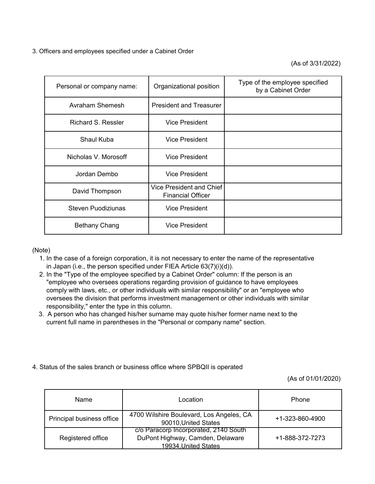3. Officers and employees specified under a Cabinet Order

(As of 3/31/2022)

| Personal or company name: | Organizational position                              | Type of the employee specified<br>by a Cabinet Order |
|---------------------------|------------------------------------------------------|------------------------------------------------------|
| Avraham Shemesh           | <b>President and Treasurer</b>                       |                                                      |
| <b>Richard S. Ressler</b> | Vice President                                       |                                                      |
| <b>Shaul Kuba</b>         | <b>Vice President</b>                                |                                                      |
| Nicholas V. Morosoff      | Vice President                                       |                                                      |
| Jordan Dembo              | <b>Vice President</b>                                |                                                      |
| David Thompson            | Vice President and Chief<br><b>Financial Officer</b> |                                                      |
| <b>Steven Puodiziunas</b> | <b>Vice President</b>                                |                                                      |
| Bethany Chang             | <b>Vice President</b>                                |                                                      |

(Note)

- 1. In the case of a foreign corporation, it is not necessary to enter the name of the representative in Japan (i.e., the person specified under FIEA Article 63(7)(i)(d)).
- 2. In the "Type of the employee specified by a Cabinet Order" column: If the person is an "employee who oversees operations regarding provision of guidance to have employees comply with laws, etc., or other individuals with similar responsibility" or an "employee who oversees the division that performs investment management or other individuals with similar responsibility," enter the type in this column.
- 3. A person who has changed his/her surname may quote his/her former name next to the current full name in parentheses in the "Personal or company name" section.
- 4. Status of the sales branch or business office where SPBQII is operated

(As of 01/01/2020)

| Name                      | Location                                                                                         | Phone           |
|---------------------------|--------------------------------------------------------------------------------------------------|-----------------|
| Principal business office | 4700 Wilshire Boulevard, Los Angeles, CA<br>90010, United States                                 | +1-323-860-4900 |
| Registered office         | c/o Paracorp Incorporated, 2140 South<br>DuPont Highway, Camden, Delaware<br>19934 United States | +1-888-372-7273 |